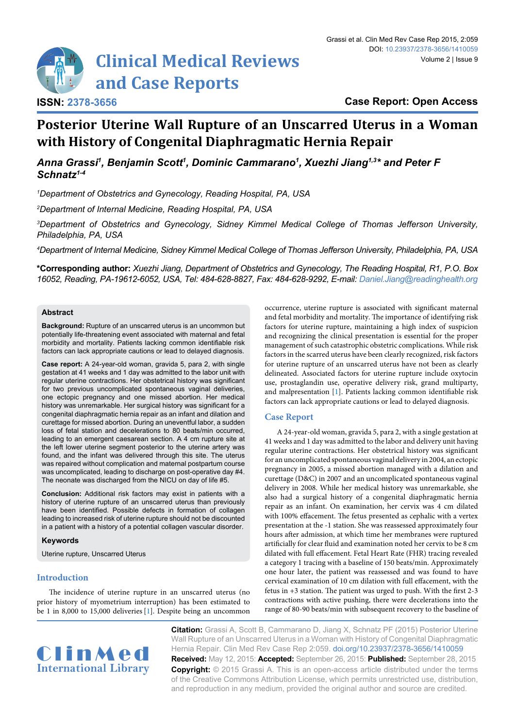

# **Posterior Uterine Wall Rupture of an Unscarred Uterus in a Woman with History of Congenital Diaphragmatic Hernia Repair**

Anna Grassi<sup>1</sup>, Benjamin Scott<sup>1</sup>, Dominic Cammarano<sup>1</sup>, Xuezhi Jiang<sup>1,3\*</sup> and Peter F *Schnatz1-4*

*1 Department of Obstetrics and Gynecology, Reading Hospital, PA, USA*

*2 Department of Internal Medicine, Reading Hospital, PA, USA*

*3 Department of Obstetrics and Gynecology, Sidney Kimmel Medical College of Thomas Jefferson University, Philadelphia, PA, USA*

*4 Department of Internal Medicine, Sidney Kimmel Medical College of Thomas Jefferson University, Philadelphia, PA, USA*

**\*Corresponding author:** *Xuezhi Jiang, Department of Obstetrics and Gynecology, The Reading Hospital, R1, P.O. Box 16052, Reading, PA-19612-6052, USA, Tel: 484-628-8827, Fax: 484-628-9292, E-mail: Daniel.Jiang@readinghealth.org*

### **Abstract**

**Background:** Rupture of an unscarred uterus is an uncommon but potentially life-threatening event associated with maternal and fetal morbidity and mortality. Patients lacking common identifiable risk factors can lack appropriate cautions or lead to delayed diagnosis.

**Case report:** A 24-year-old woman, gravida 5, para 2, with single gestation at 41 weeks and 1 day was admitted to the labor unit with regular uterine contractions. Her obstetrical history was significant for two previous uncomplicated spontaneous vaginal deliveries, one ectopic pregnancy and one missed abortion. Her medical history was unremarkable. Her surgical history was significant for a congenital diaphragmatic hernia repair as an infant and dilation and curettage for missed abortion. During an uneventful labor, a sudden loss of fetal station and decelerations to 80 beats/min occurred, leading to an emergent caesarean section. A 4 cm rupture site at the left lower uterine segment posterior to the uterine artery was found, and the infant was delivered through this site. The uterus was repaired without complication and maternal postpartum course was uncomplicated, leading to discharge on post-operative day #4. The neonate was discharged from the NICU on day of life #5.

**Conclusion:** Additional risk factors may exist in patients with a history of uterine rupture of an unscarred uterus than previously have been identified. Possible defects in formation of collagen leading to increased risk of uterine rupture should not be discounted in a patient with a history of a potential collagen vascular disorder.

### **Keywords**

Uterine rupture, Unscarred Uterus

# **Introduction**

The incidence of uterine rupture in an unscarred uterus (no prior history of myometrium interruption) has been estimated to be 1 in 8,000 to 15,000 deliveries [\[1\]](#page-1-0). Despite being an uncommon occurrence, uterine rupture is associated with significant maternal and fetal morbidity and mortality. The importance of identifying risk factors for uterine rupture, maintaining a high index of suspicion and recognizing the clinical presentation is essential for the proper management of such catastrophic obstetric complications. While risk factors in the scarred uterus have been clearly recognized, risk factors for uterine rupture of an unscarred uterus have not been as clearly delineated. Associated factors for uterine rupture include oxytocin use, prostaglandin use, operative delivery risk, grand multiparty, and malpresentation [\[1](#page-1-0)]. Patients lacking common identifiable risk factors can lack appropriate cautions or lead to delayed diagnosis.

# **Case Report**

A 24-year-old woman, gravida 5, para 2, with a single gestation at 41 weeks and 1 day was admitted to the labor and delivery unit having regular uterine contractions. Her obstetrical history was significant for an uncomplicated spontaneous vaginal delivery in 2004, an ectopic pregnancy in 2005, a missed abortion managed with a dilation and curettage (D&C) in 2007 and an uncomplicated spontaneous vaginal delivery in 2008. While her medical history was unremarkable, she also had a surgical history of a congenital diaphragmatic hernia repair as an infant. On examination, her cervix was 4 cm dilated with 100% effacement. The fetus presented as cephalic with a vertex presentation at the -1 station. She was reassessed approximately four hours after admission, at which time her membranes were ruptured artificially for clear fluid and examination noted her cervix to be 8 cm dilated with full effacement. Fetal Heart Rate (FHR) tracing revealed a category 1 tracing with a baseline of 150 beats/min. Approximately one hour later, the patient was reassessed and was found to have cervical examination of 10 cm dilation with full effacement, with the fetus in +3 station. The patient was urged to push. With the first 2-3 contractions with active pushing, there were decelerations into the range of 80-90 beats/min with subsequent recovery to the baseline of



**Citation:** Grassi A, Scott B, Cammarano D, Jiang X, Schnatz PF (2015) Posterior Uterine Wall Rupture of an Unscarred Uterus in a Woman with History of Congenital Diaphragmatic Hernia Repair. Clin Med Rev Case Rep 2:059. [doi.org/10.23937/2378-3656/1410059](https://doi.org/10.23937/2378-3656/1410059) **Received:** May 12, 2015: **Accepted:** September 26, 2015: **Published:** September 28, 2015 **Copyright:** © 2015 Grassi A. This is an open-access article distributed under the terms of the Creative Commons Attribution License, which permits unrestricted use, distribution, and reproduction in any medium, provided the original author and source are credited.